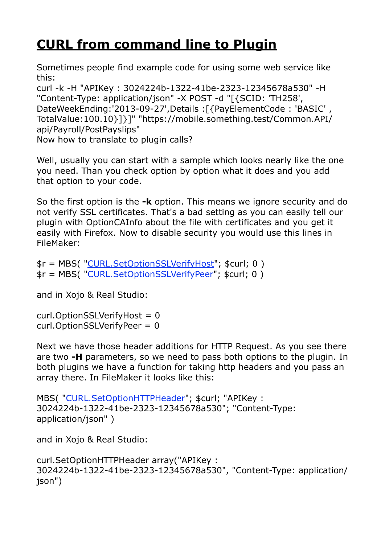## **[CURL from command line to Plugin](https://www.mbsplugins.de/archive/2013-09-26/CURL_from_command_line_to_Plug/monkeybreadsoftware_blog_archive)**

Sometimes people find example code for using some web service like this:

curl -k -H "APIKey : 3024224b-1322-41be-2323-12345678a530" -H "Content-Type: application/json" -X POST -d "[{SCID: 'TH258', DateWeekEnding:'2013-09-27',Details :[{PayElementCode : 'BASIC' , TotalValue:100.10}]}]" "https://mobile.something.test/Common.API/ api/Payroll/PostPayslips"

Now how to translate to plugin calls?

Well, usually you can start with a sample which looks nearly like the one you need. Than you check option by option what it does and you add that option to your code.

So the first option is the **-k** option. This means we ignore security and do not verify SSL certificates. That's a bad setting as you can easily tell our plugin with OptionCAInfo about the file with certificates and you get it easily with Firefox. Now to disable security you would use this lines in FileMaker:

\$r = MBS( ["CURL.SetOptionSSLVerifyHost](http://www.mbsplugins.eu/CURLSetOptionSSLVerifyHost.shtml)"; \$curl; 0 ) \$r = MBS( ["CURL.SetOptionSSLVerifyPeer](http://www.mbsplugins.eu/CURLSetOptionSSLVerifyPeer.shtml)"; \$curl; 0 )

and in Xojo & Real Studio:

curl.OptionSSLVerifyHost = 0 curl.OptionSSLVerifyPeer = 0

Next we have those header additions for HTTP Request. As you see there are two **-H** parameters, so we need to pass both options to the plugin. In both plugins we have a function for taking http headers and you pass an array there. In FileMaker it looks like this:

```
MBS( "CURL.SetOptionHTTPHeader"; $curl; "APIKey : 
3024224b-1322-41be-2323-12345678a530"; "Content-Type: 
application/json" )
```
and in Xojo & Real Studio:

```
curl.SetOptionHTTPHeader array("APIKey : 
3024224b-1322-41be-2323-12345678a530", "Content-Type: application/
json")
```